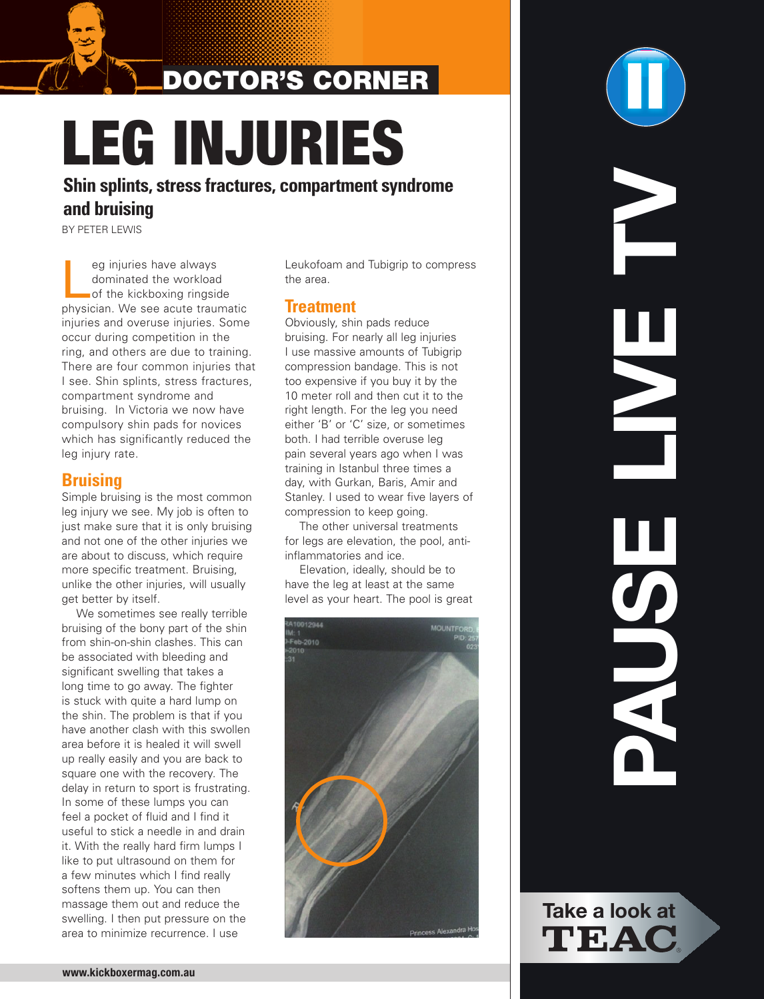# DOCtOr's COrner

# LEG INJURIES

**Shin splints, stress fractures, compartment syndrome and bruising**

BY pETEr LEWIS

eg injuries have always<br>
of the kickboxing ringside<br>
physician Me of the kickboxing ringside dominated the workload physician. We see acute traumatic injuries and overuse injuries. Some occur during competition in the ring, and others are due to training. There are four common injuries that I see. Shin splints, stress fractures, compartment syndrome and bruising. In Victoria we now have compulsory shin pads for novices which has significantly reduced the leg injury rate.

### **Bruising**

Simple bruising is the most common leg injury we see. My job is often to just make sure that it is only bruising and not one of the other injuries we are about to discuss, which require more specific treatment. Bruising, unlike the other injuries, will usually get better by itself.

We sometimes see really terrible bruising of the bony part of the shin from shin-on-shin clashes. This can be associated with bleeding and significant swelling that takes a long time to go away. The fighter is stuck with quite a hard lump on the shin. The problem is that if you have another clash with this swollen area before it is healed it will swell up really easily and you are back to square one with the recovery. The delay in return to sport is frustrating. In some of these lumps you can feel a pocket of fluid and I find it useful to stick a needle in and drain it. With the really hard firm lumps I like to put ultrasound on them for a few minutes which I find really softens them up. You can then massage them out and reduce the swelling. I then put pressure on the area to minimize recurrence. I use

Leukofoam and Tubigrip to compress the area.

### **Treatment**

Obviously, shin pads reduce bruising. For nearly all leg injuries I use massive amounts of Tubigrip compression bandage. This is not too expensive if you buy it by the 10 meter roll and then cut it to the right length. For the leg you need either 'B' or 'C' size, or sometimes both. I had terrible overuse leg pain several years ago when I was training in Istanbul three times a day, with Gurkan, Baris, Amir and Stanley. I used to wear five layers of compression to keep going.

The other universal treatments for legs are elevation, the pool, antiinflammatories and ice.

Elevation, ideally, should be to have the leg at least at the same level as your heart. The pool is great



**PAUSE LIVE TV** HUN

**Take a look at** TEAC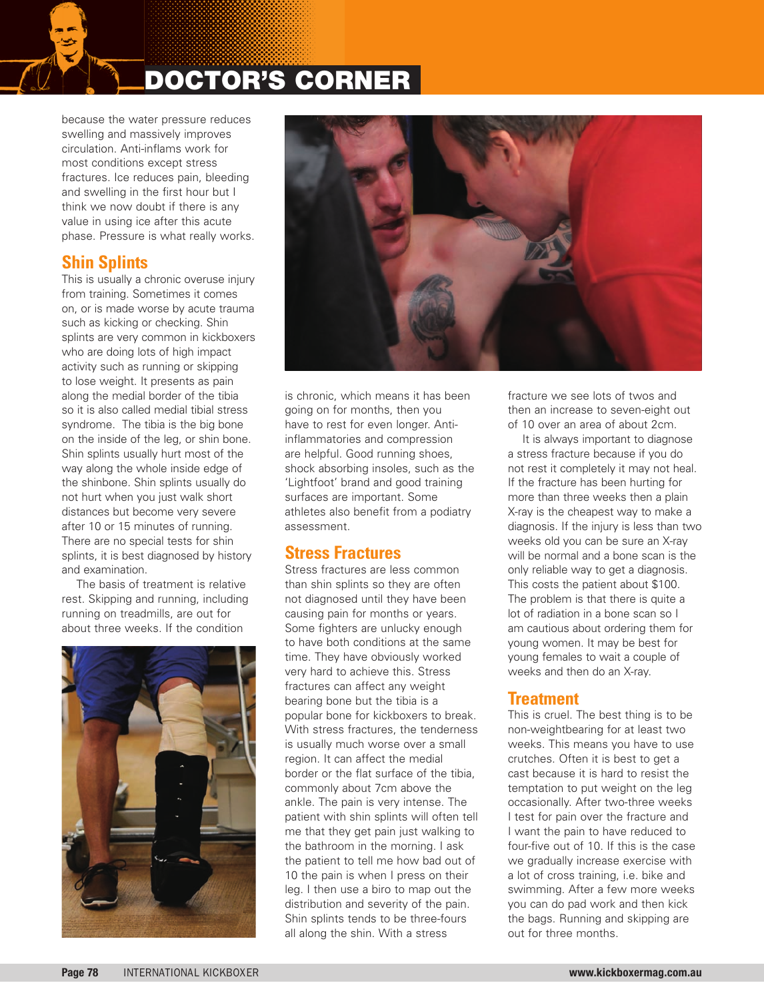## DOCtOr's COrner

because the water pressure reduces swelling and massively improves circulation. Anti-inflams work for most conditions except stress fractures. Ice reduces pain, bleeding and swelling in the first hour but I think we now doubt if there is any value in using ice after this acute phase. Pressure is what really works.

### **Shin Splints**

This is usually a chronic overuse injury from training. Sometimes it comes on, or is made worse by acute trauma such as kicking or checking. Shin splints are very common in kickboxers who are doing lots of high impact activity such as running or skipping to lose weight. It presents as pain along the medial border of the tibia so it is also called medial tibial stress syndrome. The tibia is the big bone on the inside of the leg, or shin bone. Shin splints usually hurt most of the way along the whole inside edge of the shinbone. Shin splints usually do not hurt when you just walk short distances but become very severe after 10 or 15 minutes of running. There are no special tests for shin splints, it is best diagnosed by history and examination.

The basis of treatment is relative rest. Skipping and running, including running on treadmills, are out for about three weeks. If the condition





is chronic, which means it has been going on for months, then you have to rest for even longer. Antiinflammatories and compression are helpful. Good running shoes, shock absorbing insoles, such as the 'Lightfoot' brand and good training surfaces are important. Some athletes also benefit from a podiatry assessment.

### **Stress Fractures**

Stress fractures are less common than shin splints so they are often not diagnosed until they have been causing pain for months or years. Some fighters are unlucky enough to have both conditions at the same time. They have obviously worked very hard to achieve this. Stress fractures can affect any weight bearing bone but the tibia is a popular bone for kickboxers to break. With stress fractures, the tenderness is usually much worse over a small region. It can affect the medial border or the flat surface of the tibia, commonly about 7cm above the ankle. The pain is very intense. The patient with shin splints will often tell me that they get pain just walking to the bathroom in the morning. I ask the patient to tell me how bad out of 10 the pain is when I press on their leg. I then use a biro to map out the distribution and severity of the pain. Shin splints tends to be three-fours all along the shin. With a stress

fracture we see lots of twos and then an increase to seven-eight out of 10 over an area of about 2cm.

It is always important to diagnose a stress fracture because if you do not rest it completely it may not heal. If the fracture has been hurting for more than three weeks then a plain X-ray is the cheapest way to make a diagnosis. If the injury is less than two weeks old you can be sure an X-ray will be normal and a bone scan is the only reliable way to get a diagnosis. This costs the patient about \$100. The problem is that there is quite a lot of radiation in a bone scan so I am cautious about ordering them for young women. It may be best for young females to wait a couple of weeks and then do an X-ray.

### **Treatment**

This is cruel. The best thing is to be non-weightbearing for at least two weeks. This means you have to use crutches. Often it is best to get a cast because it is hard to resist the temptation to put weight on the leg occasionally. After two-three weeks I test for pain over the fracture and I want the pain to have reduced to four-five out of 10. If this is the case we gradually increase exercise with a lot of cross training, i.e. bike and swimming. After a few more weeks you can do pad work and then kick the bags. Running and skipping are out for three months.